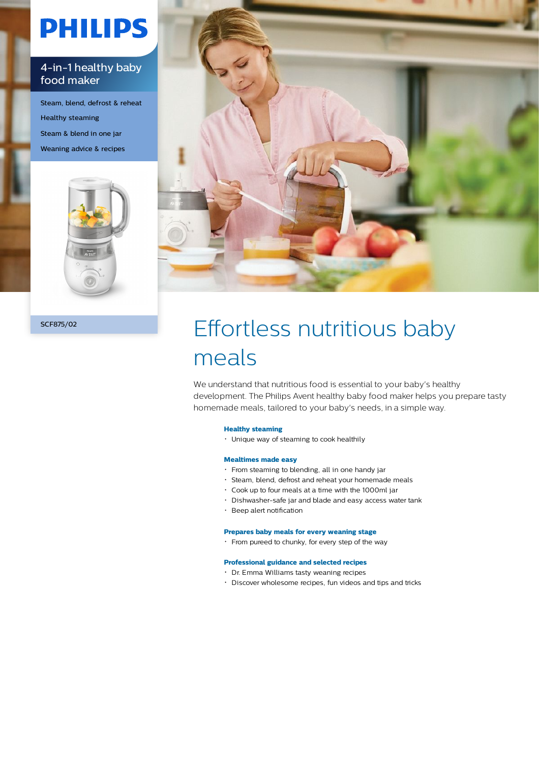# **PHILIPS**

### 4-in-1 healthy baby food maker

Steam, blend, defrost & reheat Healthy steaming Steam & blend in one jar Weaning advice & recipes





## SCF875/02 Effortless nutritious baby meals

We understand that nutritious food is essential to your baby's healthy development. The Philips Avent healthy baby food maker helps you prepare tasty homemade meals, tailored to your baby's needs, in a simple way.

#### **Healthy steaming**

Unique way of steaming to cook healthily

#### **Mealtimes made easy**

- From steaming to blending, all in one handy jar
- Steam, blend, defrost and reheat your homemade meals
- Cook up to four meals at a time with the 1000ml jar
- Dishwasher-safe jar and blade and easy access water tank
- Beep alert notification

#### **Prepares baby meals for every weaning stage**

From pureed to chunky, for every step of the way

#### **Professional guidance and selected recipes**

- Dr. Emma Williams tasty weaning recipes
- Discover wholesome recipes, fun videos and tips and tricks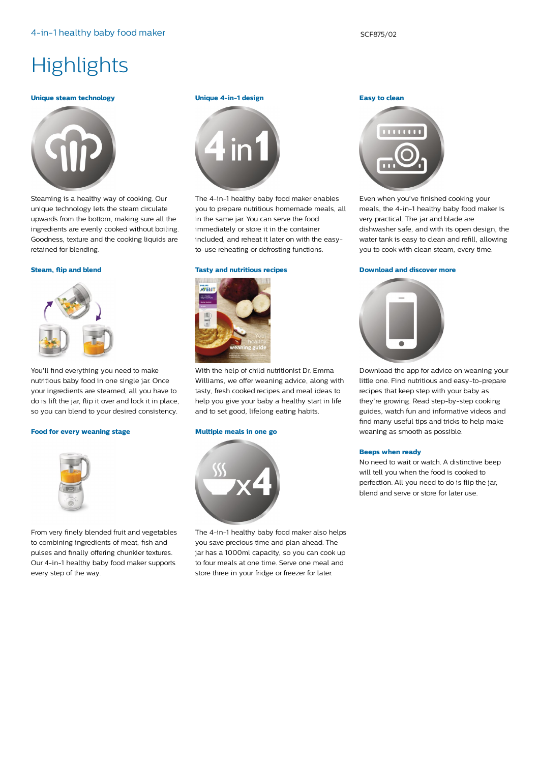### **Highlights**

#### **Unique steam technology**



Steaming is a healthy way of cooking. Our unique technology lets the steam circulate upwards from the bottom, making sure all the ingredients are evenly cooked without boiling. Goodness, texture and the cooking liquids are retained for blending.

#### **Steam, flip and blend**



You'll find everything you need to make nutritious baby food in one single jar. Once your ingredients are steamed, all you have to do is lift the jar, flip it over and lock it in place, so you can blend to your desired consistency.

#### **Food for every weaning stage**



From very finely blended fruit and vegetables to combining ingredients of meat, fish and pulses and finally offering chunkier textures. Our 4-in-1 healthy baby food maker supports every step of the way.

#### **Unique 4-in-1 design**



The 4-in-1 healthy baby food maker enables you to prepare nutritious homemade meals, all in the same jar. You can serve the food immediately or store it in the container included, and reheat it later on with the easyto-use reheating or defrosting functions.

#### **Tasty and nutritious recipes**



With the help of child nutritionist Dr. Emma Williams, we offer weaning advice, along with tasty, fresh cooked recipes and meal ideas to help you give your baby a healthy start in life and to set good, lifelong eating habits.

#### **Multiple meals in one go**



The 4-in-1 healthy baby food maker also helps you save precious time and plan ahead. The jar has a 1000ml capacity, so you can cook up to four meals at one time. Serve one meal and store three in your fridge or freezer for later.

#### **Easy to clean**



Even when you've finished cooking your meals, the 4-in-1 healthy baby food maker is very practical. The jar and blade are dishwasher safe, and with its open design, the water tank is easy to clean and refill, allowing you to cook with clean steam, every time.

#### **Download and discover more**



Download the app for advice on weaning your little one. Find nutritious and easy-to-prepare recipes that keep step with your baby as they're growing. Read step-by-step cooking guides, watch fun and informative videos and find many useful tips and tricks to help make weaning as smooth as possible.

#### **Beeps when ready**

No need to wait or watch. A distinctive beep will tell you when the food is cooked to perfection. All you need to do is flip the jar, blend and serve or store for later use.